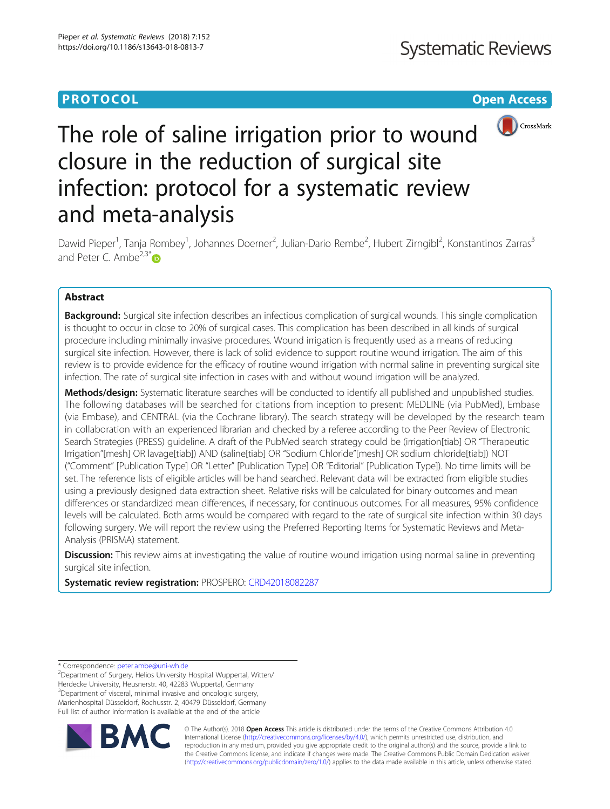## **PROTOCOL CONSUMING THE OPEN ACCESS**



# The role of saline irrigation prior to wound closure in the reduction of surgical site infection: protocol for a systematic review and meta-analysis

Dawid Pieper<sup>1</sup>, Tanja Rombey<sup>1</sup>, Johannes Doerner<sup>2</sup>, Julian-Dario Rembe<sup>2</sup>, Hubert Zirngibl<sup>2</sup>, Konstantinos Zarras<sup>3</sup> and Peter C. Ambe $2.3^{*}$  $2.3^{*}$  $2.3^{*}$  D

### Abstract

**Background:** Surgical site infection describes an infectious complication of surgical wounds. This single complication is thought to occur in close to 20% of surgical cases. This complication has been described in all kinds of surgical procedure including minimally invasive procedures. Wound irrigation is frequently used as a means of reducing surgical site infection. However, there is lack of solid evidence to support routine wound irrigation. The aim of this review is to provide evidence for the efficacy of routine wound irrigation with normal saline in preventing surgical site infection. The rate of surgical site infection in cases with and without wound irrigation will be analyzed.

Methods/design: Systematic literature searches will be conducted to identify all published and unpublished studies. The following databases will be searched for citations from inception to present: MEDLINE (via PubMed), Embase (via Embase), and CENTRAL (via the Cochrane library). The search strategy will be developed by the research team in collaboration with an experienced librarian and checked by a referee according to the Peer Review of Electronic Search Strategies (PRESS) guideline. A draft of the PubMed search strategy could be (irrigation[tiab] OR "Therapeutic Irrigation"[mesh] OR lavage[tiab]) AND (saline[tiab] OR "Sodium Chloride"[mesh] OR sodium chloride[tiab]) NOT ("Comment" [Publication Type] OR "Letter" [Publication Type] OR "Editorial" [Publication Type]). No time limits will be set. The reference lists of eligible articles will be hand searched. Relevant data will be extracted from eligible studies using a previously designed data extraction sheet. Relative risks will be calculated for binary outcomes and mean differences or standardized mean differences, if necessary, for continuous outcomes. For all measures, 95% confidence levels will be calculated. Both arms would be compared with regard to the rate of surgical site infection within 30 days following surgery. We will report the review using the Preferred Reporting Items for Systematic Reviews and Meta-Analysis (PRISMA) statement.

**Discussion:** This review aims at investigating the value of routine wound irrigation using normal saline in preventing surgical site infection.

Systematic review registration: PROSPERO: [CRD42018082287](http://www.crd.york.ac.uk/PROSPERO/display_record.php?ID=CRD42018082287)

<sup>2</sup>Department of Surgery, Helios University Hospital Wuppertal, Witten/ Herdecke University, Heusnerstr. 40, 42283 Wuppertal, Germany <sup>3</sup>Department of visceral, minimal invasive and oncologic surgery, Marienhospital Düsseldorf, Rochusstr. 2, 40479 Düsseldorf, Germany Full list of author information is available at the end of the article



© The Author(s). 2018 Open Access This article is distributed under the terms of the Creative Commons Attribution 4.0 International License [\(http://creativecommons.org/licenses/by/4.0/](http://creativecommons.org/licenses/by/4.0/)), which permits unrestricted use, distribution, and reproduction in any medium, provided you give appropriate credit to the original author(s) and the source, provide a link to the Creative Commons license, and indicate if changes were made. The Creative Commons Public Domain Dedication waiver [\(http://creativecommons.org/publicdomain/zero/1.0/](http://creativecommons.org/publicdomain/zero/1.0/)) applies to the data made available in this article, unless otherwise stated.

<sup>\*</sup> Correspondence: [peter.ambe@uni-wh.de](mailto:peter.ambe@uni-wh.de) <sup>2</sup>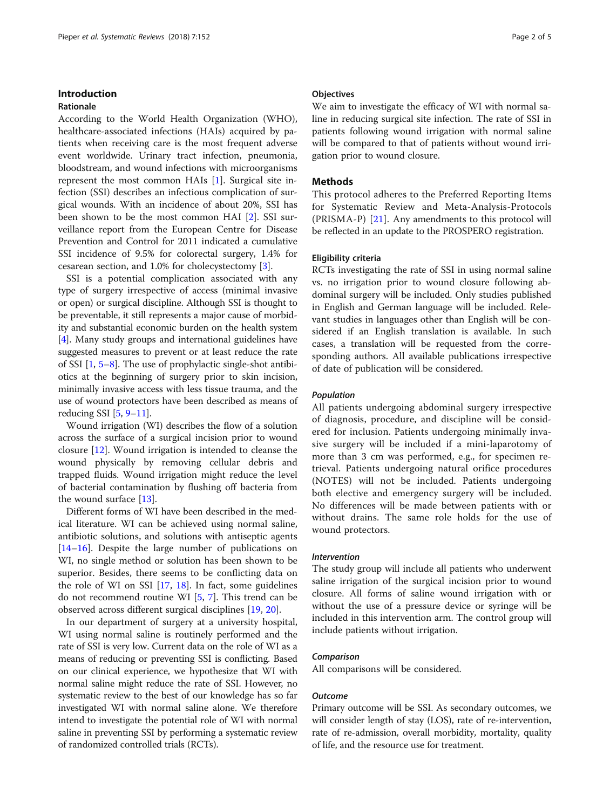#### Introduction

#### Rationale

According to the World Health Organization (WHO), healthcare-associated infections (HAIs) acquired by patients when receiving care is the most frequent adverse event worldwide. Urinary tract infection, pneumonia, bloodstream, and wound infections with microorganisms represent the most common HAIs [[1\]](#page-3-0). Surgical site infection (SSI) describes an infectious complication of surgical wounds. With an incidence of about 20%, SSI has been shown to be the most common HAI [[2\]](#page-3-0). SSI surveillance report from the European Centre for Disease Prevention and Control for 2011 indicated a cumulative SSI incidence of 9.5% for colorectal surgery, 1.4% for cesarean section, and 1.0% for cholecystectomy [\[3](#page-3-0)].

SSI is a potential complication associated with any type of surgery irrespective of access (minimal invasive or open) or surgical discipline. Although SSI is thought to be preventable, it still represents a major cause of morbidity and substantial economic burden on the health system [[4\]](#page-3-0). Many study groups and international guidelines have suggested measures to prevent or at least reduce the rate of SSI [[1](#page-3-0), [5](#page-3-0)–[8\]](#page-3-0). The use of prophylactic single-shot antibiotics at the beginning of surgery prior to skin incision, minimally invasive access with less tissue trauma, and the use of wound protectors have been described as means of reducing SSI [\[5,](#page-3-0) [9](#page-3-0)–[11\]](#page-4-0).

Wound irrigation (WI) describes the flow of a solution across the surface of a surgical incision prior to wound closure [\[12](#page-4-0)]. Wound irrigation is intended to cleanse the wound physically by removing cellular debris and trapped fluids. Wound irrigation might reduce the level of bacterial contamination by flushing off bacteria from the wound surface [\[13](#page-4-0)].

Different forms of WI have been described in the medical literature. WI can be achieved using normal saline, antibiotic solutions, and solutions with antiseptic agents [[14](#page-4-0)–[16](#page-4-0)]. Despite the large number of publications on WI, no single method or solution has been shown to be superior. Besides, there seems to be conflicting data on the role of WI on SSI [\[17](#page-4-0), [18\]](#page-4-0). In fact, some guidelines do not recommend routine WI [[5,](#page-3-0) [7](#page-3-0)]. This trend can be observed across different surgical disciplines [[19,](#page-4-0) [20](#page-4-0)].

In our department of surgery at a university hospital, WI using normal saline is routinely performed and the rate of SSI is very low. Current data on the role of WI as a means of reducing or preventing SSI is conflicting. Based on our clinical experience, we hypothesize that WI with normal saline might reduce the rate of SSI. However, no systematic review to the best of our knowledge has so far investigated WI with normal saline alone. We therefore intend to investigate the potential role of WI with normal saline in preventing SSI by performing a systematic review of randomized controlled trials (RCTs).

#### **Objectives**

We aim to investigate the efficacy of WI with normal saline in reducing surgical site infection. The rate of SSI in patients following wound irrigation with normal saline will be compared to that of patients without wound irrigation prior to wound closure.

#### **Methods**

This protocol adheres to the Preferred Reporting Items for Systematic Review and Meta-Analysis-Protocols (PRISMA-P) [[21\]](#page-4-0). Any amendments to this protocol will be reflected in an update to the PROSPERO registration.

#### Eligibility criteria

RCTs investigating the rate of SSI in using normal saline vs. no irrigation prior to wound closure following abdominal surgery will be included. Only studies published in English and German language will be included. Relevant studies in languages other than English will be considered if an English translation is available. In such cases, a translation will be requested from the corresponding authors. All available publications irrespective of date of publication will be considered.

#### Population

All patients undergoing abdominal surgery irrespective of diagnosis, procedure, and discipline will be considered for inclusion. Patients undergoing minimally invasive surgery will be included if a mini-laparotomy of more than 3 cm was performed, e.g., for specimen retrieval. Patients undergoing natural orifice procedures (NOTES) will not be included. Patients undergoing both elective and emergency surgery will be included. No differences will be made between patients with or without drains. The same role holds for the use of wound protectors.

#### Intervention

The study group will include all patients who underwent saline irrigation of the surgical incision prior to wound closure. All forms of saline wound irrigation with or without the use of a pressure device or syringe will be included in this intervention arm. The control group will include patients without irrigation.

#### Comparison

All comparisons will be considered.

#### **Outcome**

Primary outcome will be SSI. As secondary outcomes, we will consider length of stay (LOS), rate of re-intervention, rate of re-admission, overall morbidity, mortality, quality of life, and the resource use for treatment.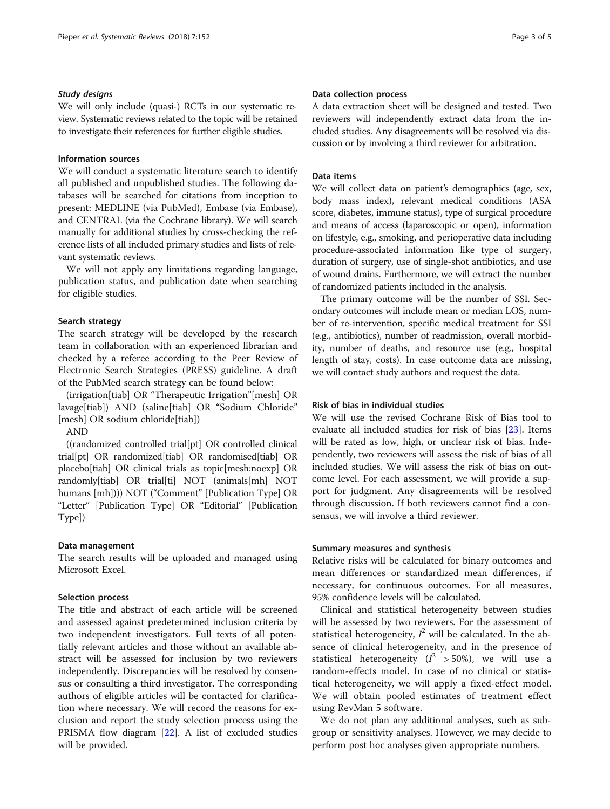#### Study designs

We will only include (quasi-) RCTs in our systematic review. Systematic reviews related to the topic will be retained to investigate their references for further eligible studies.

#### Information sources

We will conduct a systematic literature search to identify all published and unpublished studies. The following databases will be searched for citations from inception to present: MEDLINE (via PubMed), Embase (via Embase), and CENTRAL (via the Cochrane library). We will search manually for additional studies by cross-checking the reference lists of all included primary studies and lists of relevant systematic reviews.

We will not apply any limitations regarding language, publication status, and publication date when searching for eligible studies.

#### Search strategy

The search strategy will be developed by the research team in collaboration with an experienced librarian and checked by a referee according to the Peer Review of Electronic Search Strategies (PRESS) guideline. A draft of the PubMed search strategy can be found below:

(irrigation[tiab] OR "Therapeutic Irrigation"[mesh] OR lavage[tiab]) AND (saline[tiab] OR "Sodium Chloride" [mesh] OR sodium chloride[tiab])

AND

((randomized controlled trial[pt] OR controlled clinical trial[pt] OR randomized[tiab] OR randomised[tiab] OR placebo[tiab] OR clinical trials as topic[mesh:noexp] OR randomly[tiab] OR trial[ti] NOT (animals[mh] NOT humans [mh]))) NOT ("Comment" [Publication Type] OR "Letter" [Publication Type] OR "Editorial" [Publication Type])

#### Data management

The search results will be uploaded and managed using Microsoft Excel.

#### Selection process

The title and abstract of each article will be screened and assessed against predetermined inclusion criteria by two independent investigators. Full texts of all potentially relevant articles and those without an available abstract will be assessed for inclusion by two reviewers independently. Discrepancies will be resolved by consensus or consulting a third investigator. The corresponding authors of eligible articles will be contacted for clarification where necessary. We will record the reasons for exclusion and report the study selection process using the PRISMA flow diagram [[22](#page-4-0)]. A list of excluded studies will be provided.

#### Data collection process

A data extraction sheet will be designed and tested. Two reviewers will independently extract data from the included studies. Any disagreements will be resolved via discussion or by involving a third reviewer for arbitration.

#### Data items

We will collect data on patient's demographics (age, sex, body mass index), relevant medical conditions (ASA score, diabetes, immune status), type of surgical procedure and means of access (laparoscopic or open), information on lifestyle, e.g., smoking, and perioperative data including procedure-associated information like type of surgery, duration of surgery, use of single-shot antibiotics, and use of wound drains. Furthermore, we will extract the number of randomized patients included in the analysis.

The primary outcome will be the number of SSI. Secondary outcomes will include mean or median LOS, number of re-intervention, specific medical treatment for SSI (e.g., antibiotics), number of readmission, overall morbidity, number of deaths, and resource use (e.g., hospital length of stay, costs). In case outcome data are missing, we will contact study authors and request the data.

#### Risk of bias in individual studies

We will use the revised Cochrane Risk of Bias tool to evaluate all included studies for risk of bias [[23](#page-4-0)]. Items will be rated as low, high, or unclear risk of bias. Independently, two reviewers will assess the risk of bias of all included studies. We will assess the risk of bias on outcome level. For each assessment, we will provide a support for judgment. Any disagreements will be resolved through discussion. If both reviewers cannot find a consensus, we will involve a third reviewer.

#### Summary measures and synthesis

Relative risks will be calculated for binary outcomes and mean differences or standardized mean differences, if necessary, for continuous outcomes. For all measures, 95% confidence levels will be calculated.

Clinical and statistical heterogeneity between studies will be assessed by two reviewers. For the assessment of statistical heterogeneity,  $I^2$  will be calculated. In the absence of clinical heterogeneity, and in the presence of statistical heterogeneity ( $I^2$  > 50%), we will use a random-effects model. In case of no clinical or statistical heterogeneity, we will apply a fixed-effect model. We will obtain pooled estimates of treatment effect using RevMan 5 software.

We do not plan any additional analyses, such as subgroup or sensitivity analyses. However, we may decide to perform post hoc analyses given appropriate numbers.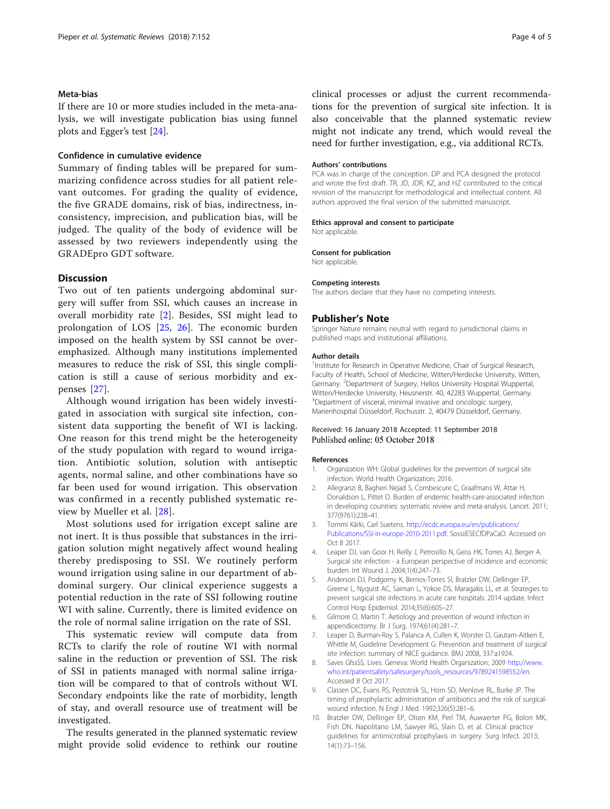#### <span id="page-3-0"></span>Meta-bias

If there are 10 or more studies included in the meta-analysis, we will investigate publication bias using funnel plots and Egger's test [\[24](#page-4-0)].

#### Confidence in cumulative evidence

Summary of finding tables will be prepared for summarizing confidence across studies for all patient relevant outcomes. For grading the quality of evidence, the five GRADE domains, risk of bias, indirectness, inconsistency, imprecision, and publication bias, will be judged. The quality of the body of evidence will be assessed by two reviewers independently using the GRADEpro GDT software.

#### **Discussion**

Two out of ten patients undergoing abdominal surgery will suffer from SSI, which causes an increase in overall morbidity rate [2]. Besides, SSI might lead to prolongation of LOS [[25,](#page-4-0) [26](#page-4-0)]. The economic burden imposed on the health system by SSI cannot be overemphasized. Although many institutions implemented measures to reduce the risk of SSI, this single complication is still a cause of serious morbidity and expenses [\[27](#page-4-0)].

Although wound irrigation has been widely investigated in association with surgical site infection, consistent data supporting the benefit of WI is lacking. One reason for this trend might be the heterogeneity of the study population with regard to wound irrigation. Antibiotic solution, solution with antiseptic agents, normal saline, and other combinations have so far been used for wound irrigation. This observation was confirmed in a recently published systematic review by Mueller et al. [[28\]](#page-4-0).

Most solutions used for irrigation except saline are not inert. It is thus possible that substances in the irrigation solution might negatively affect wound healing thereby predisposing to SSI. We routinely perform wound irrigation using saline in our department of abdominal surgery. Our clinical experience suggests a potential reduction in the rate of SSI following routine WI with saline. Currently, there is limited evidence on the role of normal saline irrigation on the rate of SSI.

This systematic review will compute data from RCTs to clarify the role of routine WI with normal saline in the reduction or prevention of SSI. The risk of SSI in patients managed with normal saline irrigation will be compared to that of controls without WI. Secondary endpoints like the rate of morbidity, length of stay, and overall resource use of treatment will be investigated.

The results generated in the planned systematic review might provide solid evidence to rethink our routine clinical processes or adjust the current recommendations for the prevention of surgical site infection. It is also conceivable that the planned systematic review might not indicate any trend, which would reveal the need for further investigation, e.g., via additional RCTs.

#### Authors' contributions

PCA was in charge of the conception. DP and PCA designed the protocol and wrote the first draft. TR, JD, JDR, KZ, and HZ contributed to the critical revision of the manuscript for methodological and intellectual content. All authors approved the final version of the submitted manuscript.

#### Ethics approval and consent to participate

Not applicable.

#### Consent for publication

Not applicable.

#### Competing interests

The authors declare that they have no competing interests.

#### Publisher's Note

Springer Nature remains neutral with regard to jurisdictional claims in published maps and institutional affiliations.

#### Author details

<sup>1</sup>Institute for Research in Operative Medicine, Chair of Surgical Research, Faculty of Health, School of Medicine, Witten/Herdecke University, Witten, Germany. <sup>2</sup>Department of Surgery, Helios University Hospital Wuppertal, Witten/Herdecke University, Heusnerstr. 40, 42283 Wuppertal, Germany. <sup>3</sup>Department of visceral, minimal invasive and oncologic surgery, Marienhospital Düsseldorf, Rochusstr. 2, 40479 Düsseldorf, Germany.

#### Received: 16 January 2018 Accepted: 11 September 2018 Published online: 05 October 2018

#### References

- 1. Organization WH: Global guidelines for the prevention of surgical site infection: World Health Organization; 2016.
- 2. Allegranzi B, Bagheri Nejad S, Combescure C, Graafmans W, Attar H, Donaldson L, Pittet D. Burden of endemic health-care-associated infection in developing countries: systematic review and meta-analysis. Lancet. 2011; 377(9761):228–41.
- 3. Tommi Kärki, Carl Suetens. [http://ecdc.europa.eu/en/publications/](http://ecdc.europa.eu/en/publications/Publications/SSI-in-europe-2010-2011.pdf) [Publications/SSI-in-europe-2010-2011.pdf](http://ecdc.europa.eu/en/publications/Publications/SSI-in-europe-2010-2011.pdf). SossiiESECfDPaCaO. Accessed on Oct 8 2017.
- 4. Leaper DJ, van Goor H, Reilly J, Petrosillo N, Geiss HK, Torres AJ, Berger A. Surgical site infection - a European perspective of incidence and economic burden. Int Wound J. 2004;1(4):247–73.
- 5. Anderson DJ, Podgorny K, Berrios-Torres SI, Bratzler DW, Dellinger EP, Greene L, Nyquist AC, Saiman L, Yokoe DS, Maragakis LL, et al. Strategies to prevent surgical site infections in acute care hospitals: 2014 update. Infect Control Hosp Epidemiol. 2014;35(6):605–27.
- 6. Gilmore O, Martin T. Aetiology and prevention of wound infection in appendicectomy. Br J Surg. 1974;61(4):281–7.
- 7. Leaper D, Burman-Roy S, Palanca A, Cullen K, Worster D, Gautam-Aitken E, Whittle M, Guideline Development G: Prevention and treatment of surgical site infection: summary of NICE guidance. BMJ 2008, 337:a1924.
- Saves GfssSS, Lives. Geneva: World Health Organization; 2009 [http://www.](http://www.who.int/patientsafety/safesurgery/tools_resources/9789241598552/en) [who.int/patientsafety/safesurgery/tools\\_resources/9789241598552/en](http://www.who.int/patientsafety/safesurgery/tools_resources/9789241598552/en). Accessed 8 Oct 2017.
- 9. Classen DC, Evans RS, Pestotnik SL, Horn SD, Menlove RL, Burke JP. The timing of prophylactic administration of antibiotics and the risk of surgicalwound infection. N Engl J Med. 1992;326(5):281–6.
- 10. Bratzler DW, Dellinger EP, Olsen KM, Perl TM, Auwaerter PG, Bolon MK, Fish DN, Napolitano LM, Sawyer RG, Slain D, et al. Clinical practice guidelines for antimicrobial prophylaxis in surgery. Surg Infect. 2013; 14(1):73–156.